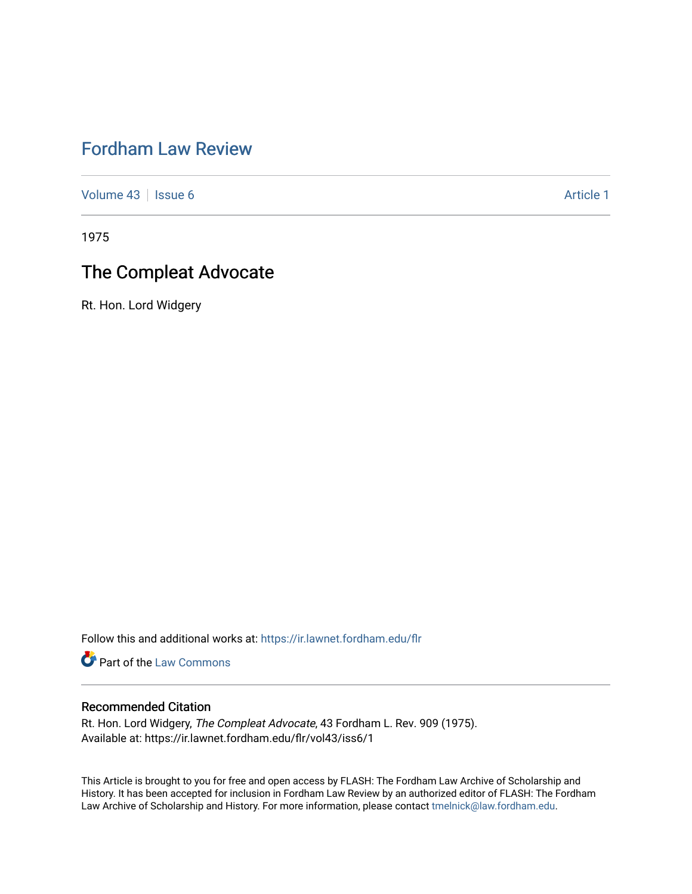# [Fordham Law Review](https://ir.lawnet.fordham.edu/flr)

[Volume 43](https://ir.lawnet.fordham.edu/flr/vol43) | [Issue 6](https://ir.lawnet.fordham.edu/flr/vol43/iss6) Article 1

1975

## The Compleat Advocate

Rt. Hon. Lord Widgery

Follow this and additional works at: [https://ir.lawnet.fordham.edu/flr](https://ir.lawnet.fordham.edu/flr?utm_source=ir.lawnet.fordham.edu%2Fflr%2Fvol43%2Fiss6%2F1&utm_medium=PDF&utm_campaign=PDFCoverPages)

Part of the [Law Commons](http://network.bepress.com/hgg/discipline/578?utm_source=ir.lawnet.fordham.edu%2Fflr%2Fvol43%2Fiss6%2F1&utm_medium=PDF&utm_campaign=PDFCoverPages)

### Recommended Citation

Rt. Hon. Lord Widgery, The Compleat Advocate, 43 Fordham L. Rev. 909 (1975). Available at: https://ir.lawnet.fordham.edu/flr/vol43/iss6/1

This Article is brought to you for free and open access by FLASH: The Fordham Law Archive of Scholarship and History. It has been accepted for inclusion in Fordham Law Review by an authorized editor of FLASH: The Fordham Law Archive of Scholarship and History. For more information, please contact [tmelnick@law.fordham.edu](mailto:tmelnick@law.fordham.edu).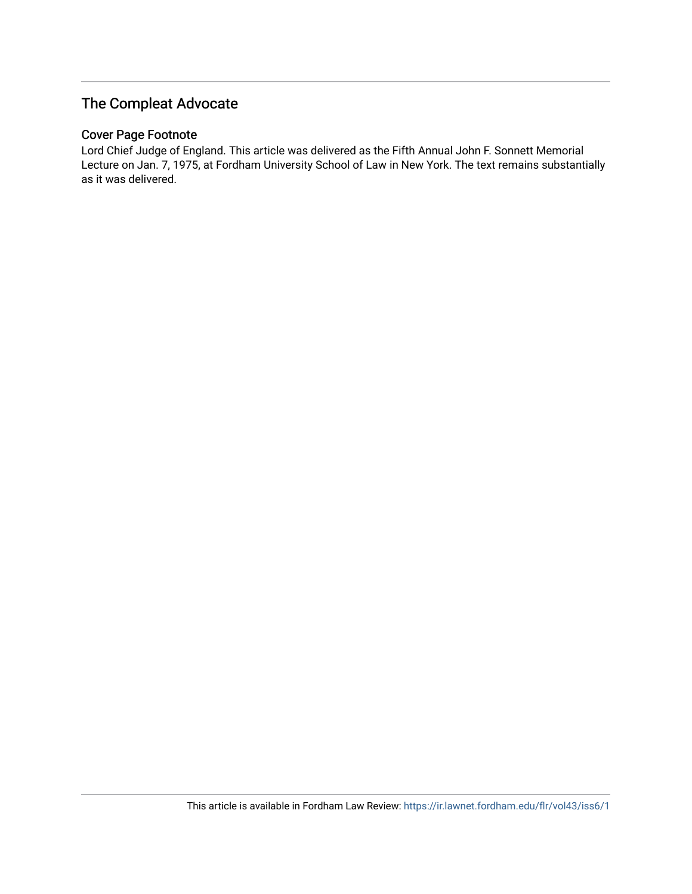### The Compleat Advocate

### Cover Page Footnote

Lord Chief Judge of England. This article was delivered as the Fifth Annual John F. Sonnett Memorial Lecture on Jan. 7, 1975, at Fordham University School of Law in New York. The text remains substantially as it was delivered.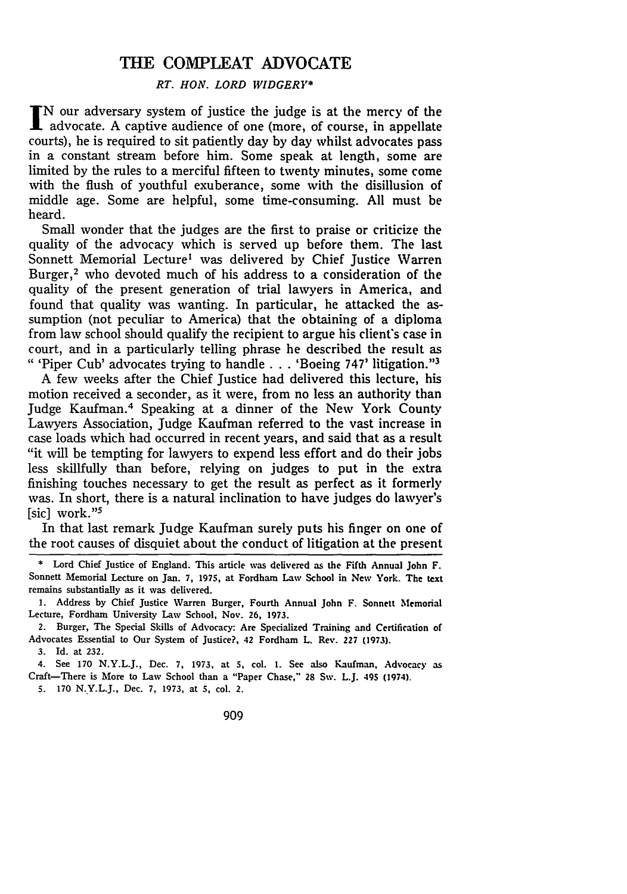### THE COMPLEAT ADVOCATE

#### *RT. HON. LORD WIDGERY\**

N our adversary system of justice the judge is at the mercy of the advocate. A captive audience of one (more, of course, in appellate courts), he is required to sit patiently day by day whilst advocates pass in a constant stream before him. Some speak at length, some are limited by the rules to a merciful fifteen to twenty minutes, some come with the flush of youthful exuberance, some with the disillusion of middle age. Some are helpful, some time-consuming. All must be heard.

Small wonder that the judges are the first to praise or criticize the quality of the advocacy which is served up before them. The last Sonnett Memorial Lecture' was delivered by Chief Justice Warren Burger, $2$  who devoted much of his address to a consideration of the quality of the present generation of trial lawyers in America, and found that quality was wanting. In particular, he attacked the assumption (not peculiar to America) that the obtaining of a diploma from law school should qualify the recipient to argue his client's case in court, and in a particularly telling phrase he described the result as "'Piper Cub' advocates trying to handle... 'Boeing 747' litigation."'3

A few weeks after the Chief Justice had delivered this lecture, his motion received a seconder, as it were, from no less an authority than Judge Kaufman.4 Speaking at a dinner of the New York County Lawyers Association, Judge Kaufman referred to the vast increase in case loads which had occurred in recent years, and said that as a result "it will be tempting for lawyers to expend less effort and do their jobs less skillfully than before, relying on judges to put in the extra finishing touches necessary to get the result as perfect as it formerly was. In short, there is a natural inclination to have judges do lawyer's [sic] work."<sup>5</sup>

In that last remark Judge Kaufman surely puts his finger on one of the root causes of disquiet about the conduct of litigation at the present

2. Burger, The Special Skills of Advocacy: Are Specialized Training and Certification of Advocates Essential to Our System of Justice?, 42 Fordham L. Rev. 227 **(1973).**

3. Id. at **232.**

4. See 170 N.Y.L.J., Dec. **7, 1973,** at **5,** col. **1.** See also Kaufman, Advocacy as Craft-There is More to Law School than a "Paper Chase," 28 Sw. L.J. 495 (1974).

**5. 170** N.Y.L.J., Dec. **7, 1973,** at **5,** col. 2.

909

**<sup>\*</sup>Lord Chief Justice of England. This article was delivered as the Fifth Annual John F. Sonnett Memorial** Lecture **on** Jan. **7, 1975, at Fordharm Law School in New York. The** text remains substantially as it was delivered.

<sup>1.</sup> Address by Chief Justice Warren Burger, Fourth Annual John F. Sonnett Memorial Lecture, Fordham University Law School, Nov. **26,** 1973.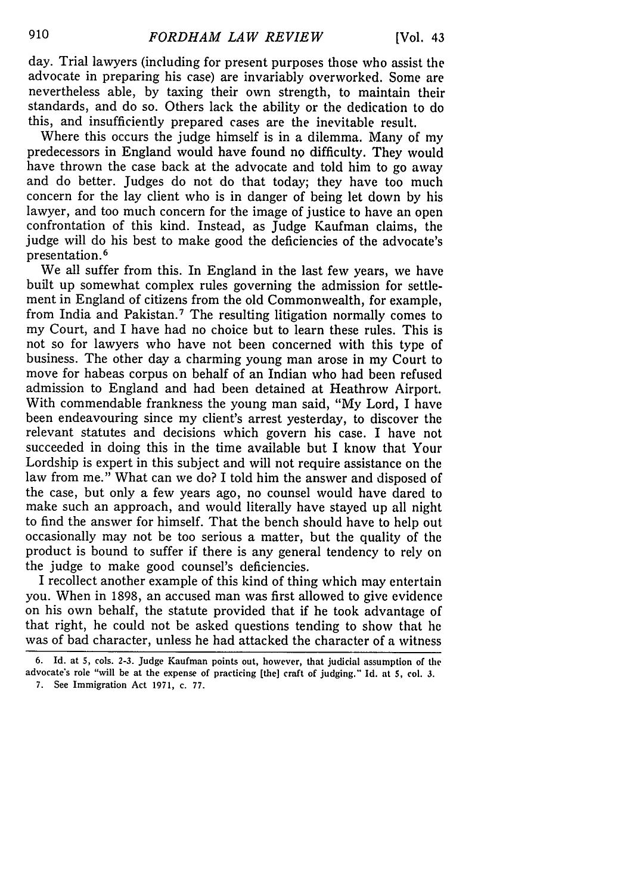day. Trial lawyers (including for present purposes those who assist the advocate in preparing his case) are invariably overworked. Some are nevertheless able, by taxing their own strength, to maintain their standards, and do so. Others lack the ability or the dedication to do this, and insufficiently prepared cases are the inevitable result.

Where this occurs the judge himself is in a dilemma. Many of my predecessors in England would have found **no** difficulty. They would have thrown the case back at the advocate and told him to go away and do better. Judges do not do that today; they have too much concern for the lay client who is in danger of being let down by his lawyer, and too much concern for the image of justice to have an open confrontation of this kind. Instead, as Judge Kaufman claims, the judge will do his best to make good the deficiencies of the advocate's presentation. <sup>6</sup>

We all suffer from this. In England in the last few years, we have built up somewhat complex rules governing the admission for settlement in England of citizens from the old Commonwealth, for example, from India and Pakistan.<sup>7</sup> The resulting litigation normally comes to my Court, and I have had no choice but to learn these rules. This is not so for lawyers who have not been concerned with this type of business. The other day a charming young man arose in my Court to move for habeas corpus on behalf of an Indian who had been refused admission to England and had been detained at Heathrow Airport. With commendable frankness the young man said, "My Lord, I have been endeavouring since my client's arrest yesterday, to discover the relevant statutes and decisions which govern his case. I have not succeeded in doing this in the time available but I know that Your Lordship is expert in this subject and will not require assistance on the law from me." What can we do? I told him the answer and disposed of the case, but only a few years ago, no counsel would have dared to make such an approach, and would literally have stayed up all night to find the answer for himself. That the bench should have to help out occasionally may not be too serious a matter, but the quality of the product is bound to suffer if there is any general tendency to rely on the judge to make good counsel's deficiencies.

I recollect another example of this kind of thing which may entertain you. When in 1898, an accused man was first allowed to give evidence on his own behalf, the statute provided that if he took advantage of that right, he could not be asked questions tending to show that he was of bad character, unless he had attacked the character of a witness

**7. See Immigration Act 1971, c. 77.**

**<sup>6.</sup> Id. at 5, cols. 2-3. Judge Kaufman points out, however, that judicial assumption of the advocate's role "will be at the expense of practicing [the] craft of judging." Id. at 5, col. 3.**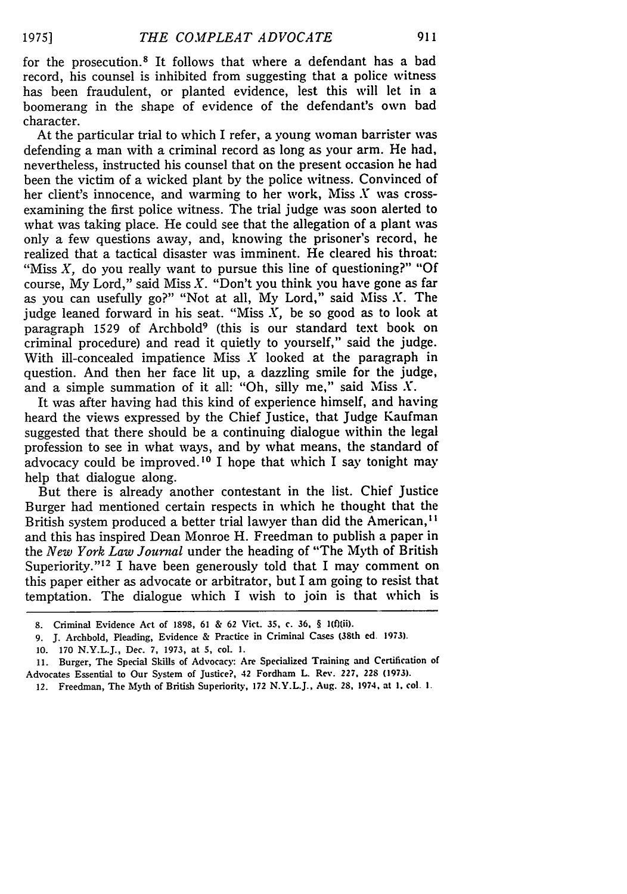for the prosecution. 8 It follows that where a defendant has a bad record, his counsel is inhibited from suggesting that a police witness has been fraudulent, or planted evidence, lest this will let in a boomerang in the shape of evidence of the defendant's own bad character.

At the particular trial to which I refer, a young woman barrister was defending a man with a criminal record as long as your arm. He had, nevertheless, instructed his counsel that on the present occasion he had been the victim of a wicked plant by the police witness. Convinced of her client's innocence, and warming to her work, Miss *X* was crossexamining the first police witness. The trial judge was soon alerted to what was taking place. He could see that the allegation of a plant was only a few questions away, and, knowing the prisoner's record, he realized that a tactical disaster was imminent. He cleared his throat: "Miss *X,* do you really want to pursue this line of questioning?" **"Of** course, My Lord," said Miss *X.* "Don't you think you have gone as far as you can usefully go?" "Not at all, My Lord," said Miss *X.* The judge leaned forward in his seat. "Miss *X,* be so good as to look at paragraph 1529 of Archbold<sup>9</sup> (this is our standard text book on criminal procedure) and read it quietly to yourself," said the judge. With ill-concealed impatience Miss  $X$  looked at the paragraph in question. And then her face lit up, a dazzling smile for the judge, and a simple summation of it all: "Oh, silly me," said Miss *X.*

It was after having had this kind of experience himself, and having heard the views expressed by the Chief Justice, that Judge Kaufman suggested that there should be a continuing dialogue within the legal profession to see in what ways, and by what means, the standard of advocacy could be improved.<sup>10</sup> I hope that which I say tonight may help that dialogue along.

But there is already another contestant in the list. Chief Justice Burger had mentioned certain respects in which he thought that the British system produced a better trial lawyer than did the American,<sup>11</sup> and this has inspired Dean Monroe H. Freedman to publish a paper in the *New York Law Journal* under the heading of "The Myth of British Superiority."<sup>12</sup> I have been generously told that I may comment on this paper either as advocate or arbitrator, but I am going to resist that temptation. The dialogue which I wish to join is that which is

**<sup>8.</sup>** Criminal **Evidence Act of 1898, 61 & 62 Vict. 35, c. 36,** § **1(f(ii).**

**<sup>9.</sup>** J. **Archbold, Pleading,** Evidence **&** Practice in Criminal Cases **(38th** ed. **1973).**

**<sup>10. 170</sup>** N.Y.L.J., Dec. **7, 1973, at 5, col. 1.**

**<sup>11.</sup> Burger, The** Special **Skills of Advocacy: Are** Specialized **Training and** Certification **of Advocates** Essential **to Our** System **of** Justice?, **42 Fordham L. Rev. 227, 228 (1973).**

**<sup>12.</sup>** Freedman, **The** Myth **of British Superiority, 172** N.Y.L.J., **Aug. 28. 1974. at 1, col. I.**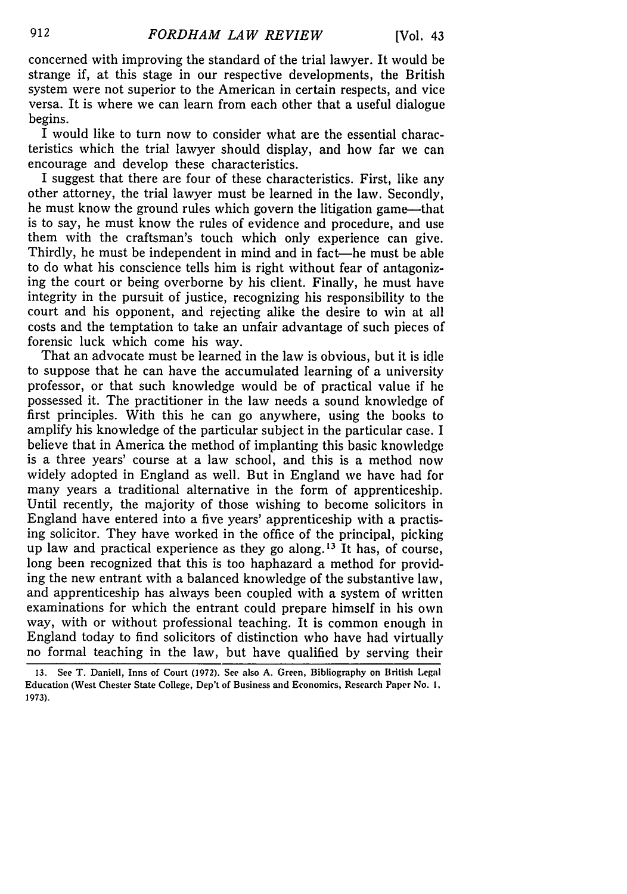concerned with improving the standard of the trial lawyer. It would be strange if, at this stage in our respective developments, the British system were not superior to the American in certain respects, and vice versa. It is where we can learn from each other that a useful dialogue begins.

I would like to turn now to consider what are the essential characteristics which the trial lawyer should display, and how far we can encourage and develop these characteristics.

I suggest that there are four of these characteristics. First, like any other attorney, the trial lawyer must be learned in the law. Secondly, he must know the ground rules which govern the litigation game—that is to say, he must know the rules of evidence and procedure, and use them with the craftsman's touch which only experience can give. Thirdly, he must be independent in mind and in fact—he must be able to do what his conscience tells him is right without fear of antagonizing the court or being overborne by his client. Finally, he must have integrity in the pursuit of justice, recognizing his responsibility to the court and his opponent, and rejecting alike the desire to win at all costs and the temptation to take an unfair advantage of such pieces of forensic luck which come his way.

That an advocate must be learned in the law is obvious, but it is idle to suppose that he can have the accumulated learning of a university professor, or that such knowledge would be of practical value if he possessed it. The practitioner in the law needs a sound knowledge of first principles. With this he can go anywhere, using the books to amplify his knowledge of the particular subject in the particular case. I believe that in America the method of implanting this basic knowledge is a three years' course at a law school, and this is a method now widely adopted in England as well. But in England we have had for many years a traditional alternative in the form of apprenticeship. Until recently, the majority of those wishing to become solicitors in England have entered into a five years' apprenticeship with a practising solicitor. They have worked in the office of the principal, picking up law and practical experience as they go along.<sup>13</sup> It has, of course, long been recognized that this is too haphazard a method for providing the new entrant with a balanced knowledge of the substantive law, and apprenticeship has always been coupled with a system of written examinations for which the entrant could prepare himself in his own way, with or without professional teaching. It is common enough in England today to find solicitors of distinction who have had virtually no formal teaching in the law, but have qualified by serving their

**<sup>13.</sup> See T. Daniell,** Inns **of Court (1972). See also A. Green, Bibliography on British Legal Education (West Chester State College, Dep't of Business and Economics, Research Paper No. I, 1973).**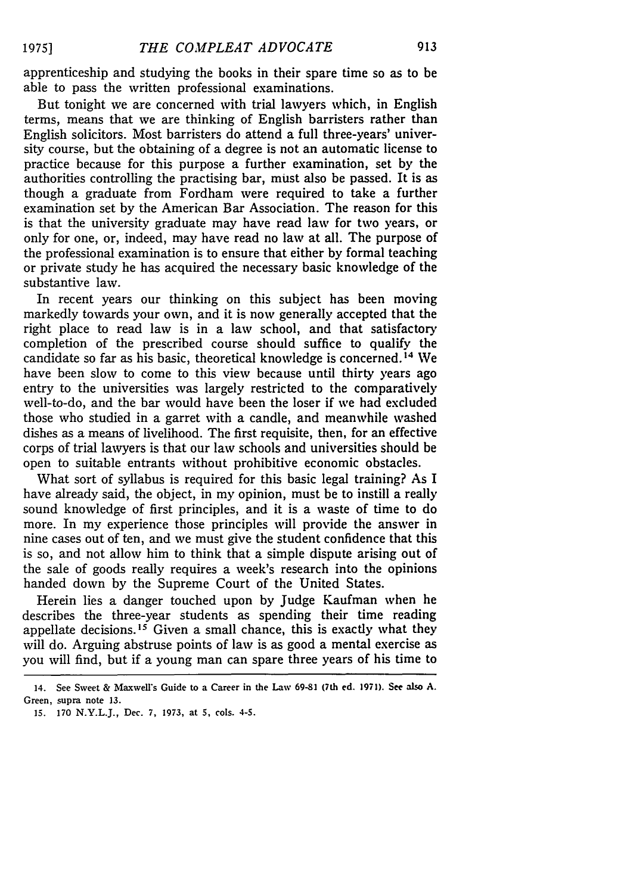apprenticeship and studying the books in their spare time so as to be able to pass the written professional examinations.

But tonight we are concerned with trial lawyers which, in English terms, means that we are thinking of English barristers rather than English solicitors. Most barristers do attend a full three-years' university course, but the obtaining of a degree is not an automatic license to practice because for this purpose a further examination, set by the authorities controlling the practising bar, must also be passed. It is as though a graduate from Fordham were required to take a further examination set by the American Bar Association. The reason for this is that the university graduate may have read law for two years, or only for one, or, indeed, may have read no law at all. The purpose of the professional examination is to ensure that either by formal teaching or private study he has acquired the necessary basic knowledge of the substantive law.

In recent years our thinking on this subject has been moving markedly towards your own, and it is now generally accepted that the right place to read law is in a law school, and that satisfactory completion of the prescribed course should suffice to qualify the candidate so far as his basic, theoretical knowledge is concerned.<sup>14</sup> We have been slow to come to this view because until thirty years ago entry to the universities was largely restricted to the comparatively well-to-do, and the bar would have been the loser if we had excluded those who studied in a garret with a candle, and meanwhile washed dishes as a means of livelihood. The first requisite, then, for an effective corps of trial lawyers is that our law schools and universities should be open to suitable entrants without prohibitive economic obstacles.

What sort of syllabus is required for this basic legal training? As I have already said, the object, in my opinion, must be to instill a really sound knowledge of first principles, and it is a waste of time to do more. In my experience those principles will provide the answer in nine cases out of ten, and we must give the student confidence that this is so, and not allow him to think that a simple dispute arising out of the sale of goods really requires a week's research into the opinions handed down by the Supreme Court of the United States.

Herein lies a danger touched upon by Judge Kaufman when he describes the three-year students as spending their time reading appellate decisions.<sup>15</sup> Given a small chance, this is exactly what they will do. Arguing abstruse points of law is as good a mental exercise as you will find, but if a young man can spare three years of his time to

<sup>14.</sup> **See Sweet &** MaxweWs **Guide to a Career in the Law 69-81 (7th ed. 1971).** See also **A.** Green, **supra** note **13.**

**<sup>15. 170</sup>** N.Y.L.J., Dec. **7, 1973,** at **5,** cols. **4-5.**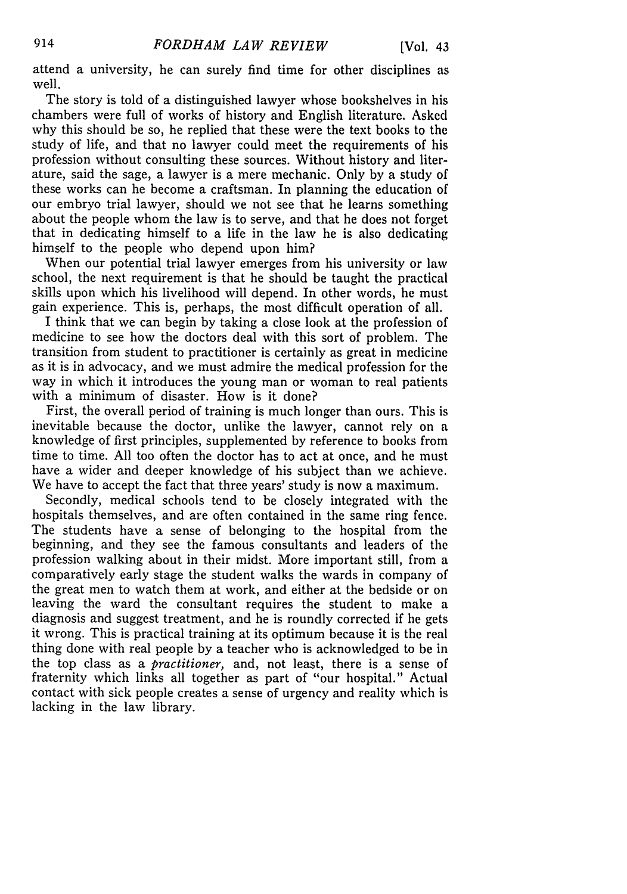attend a university, he can surely find time for other disciplines as well.

The story is told of a distinguished lawyer whose bookshelves in his chambers were full of works of history and English literature. Asked why this should be so, he replied that these were the text books to the study of life, and that no lawyer could meet the requirements of his profession without consulting these sources. Without history and literature, said the sage, a lawyer is a mere mechanic. Only by a study of these works can he become a craftsman. In planning the education of our embryo trial lawyer, should we not see that he learns something about the people whom the law is to serve, and that he does not forget that in dedicating himself to a life in the law he is also dedicating himself to the people who depend upon him?

When our potential trial lawyer emerges from his university or law school, the next requirement is that he should be taught the practical skills upon which his livelihood will depend. In other words, he must gain experience. This is, perhaps, the most difficult operation of all.

I think that we can begin by taking a close look at the profession of medicine to see how the doctors deal with this sort of problem. The transition from student to practitioner is certainly as great in medicine as it is in advocacy, and we must admire the medical profession for the way in which it introduces the young man or woman to real patients with a minimum of disaster. How is it done?

First, the overall period of training is much longer than ours. This is inevitable because the doctor, unlike the lawyer, cannot rely on a knowledge of first principles, supplemented by reference to books from time to time. All too often the doctor has to act at once, and he must have a wider and deeper knowledge of his subject than we achieve. We have to accept the fact that three years' study is now a maximum.

Secondly, medical schools tend to be closely integrated with the hospitals themselves, and are often contained in the same ring fence. The students have a sense of belonging to the hospital from the beginning, and they see the famous consultants and leaders of the profession walking about in their midst. More important still, from a comparatively early stage the student walks the wards in company of the great men to watch them at work, and either at the bedside or on leaving the ward the consultant requires the student to make a diagnosis and suggest treatment, and he is roundly corrected if he gets it wrong. This is practical training at its optimum because it is the real thing done with real people by a teacher who is acknowledged to be in the top class as a *practitioner,* and, not least, there is a sense of fraternity which links all together as part of "our hospital." Actual contact with sick people creates a sense of urgency and reality which is lacking in the law library.

914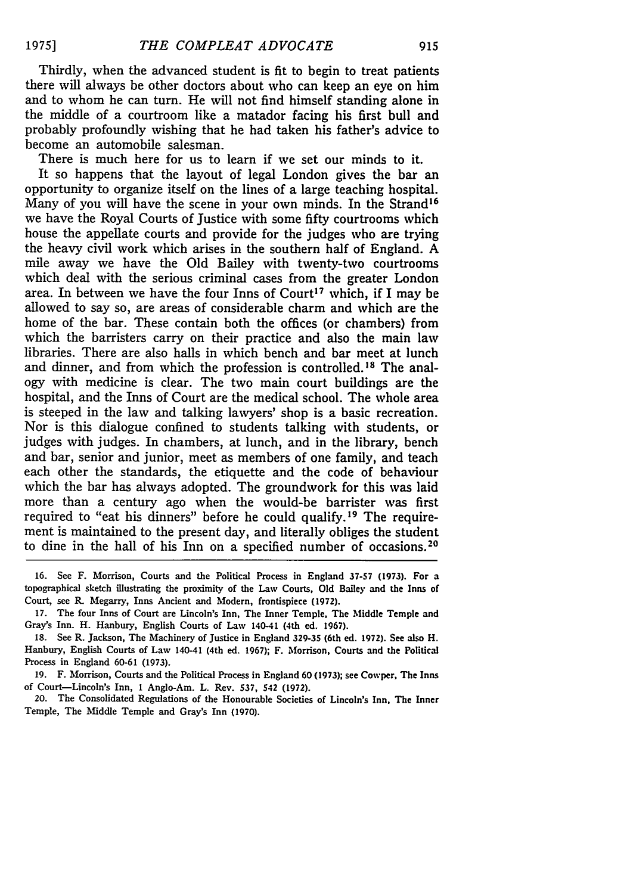Thirdly, when the advanced student is fit to begin to treat patients there will always be other doctors about who can keep an eye on him and to whom he can turn. He will not find himself standing alone in the middle of a courtroom like a matador facing his first bull and probably profoundly wishing that he had taken his father's advice to become an automobile salesman.

There is much here for us to learn if we set our minds to it. It so happens that the layout of legal London gives the bar an opportunity to organize itself on the lines of a large teaching hospital. Many of you will have the scene in your own minds. In the Strand<sup>16</sup> we have the Royal Courts of Justice with some fifty courtrooms which house the appellate courts and provide for the judges who are trying the heavy civil work which arises in the southern half of England. A mile away we have the Old Bailey with twenty-two courtrooms which deal with the serious criminal cases from the greater London area. In between we have the four Inns of Court<sup>17</sup> which, if I may be allowed to say so, are areas of considerable charm and which are the home of the bar. These contain both the offices (or chambers) from which the barristers carry on their practice and also the main law libraries. There are also halls in which bench and bar meet at lunch and dinner, and from which the profession is controlled. 18 The analogy with medicine is clear. The two main court buildings are the hospital, and the Inns of Court are the medical school. The whole area is steeped in the law and talking lawyers' shop is a basic recreation. Nor is this dialogue confined to students talking with students, or judges with judges. In chambers, at lunch, and in the library, bench and bar, senior and junior, meet as members of one family, and teach each other the standards, the etiquette and the code of behaviour which the bar has always adopted. The groundwork for this was laid more than a century ago when the would-be barrister was first required to "eat his dinners" before he could qualify. 19 The requirement is maintained to the present day, and literally obliges the student to dine in the hall of his Inn on a specified number of occasions. <sup>20</sup>

**<sup>16.</sup>** See F. Morrison, Courts and the Political Process in England **37-57 (1973).** For a topographical sketch illustrating the proximity of the Law Courts, Old Bailey and the Inns of Court, see R. Megarry, Inns Ancient and Modern, frontispiece **(1972).**

<sup>17.</sup> The four Inns of Court are Lincoln's Inn, The Inner Temple, The Middle Temple and Gray's Inn. H. Hanbury, English Courts of Law 140-41 (4th ed. **1967).**

**<sup>18.</sup>** See R. Jackson, The Machinery of Justice in England **329-35** (6th ed. **1972).** See also H. Hanbury, English Courts of Law 140-41 (4th ed. 1967); F. Morrison, Courts and the Political Process in England 60-61 (1973).

<sup>19.</sup> F. Morrison, Courts and the Political Process in England 60 **(1973);** see Cowper, The Inns of Court-Lincoln's Inn, **1** Anglo-Am. L. Rev. **537,** 542 **(1972).**

<sup>20.</sup> The Consolidated Regulations of the Honourable Societies of Lincoln's Inn. The Inner Temple, The Middle Temple and Gray's Inn (1970).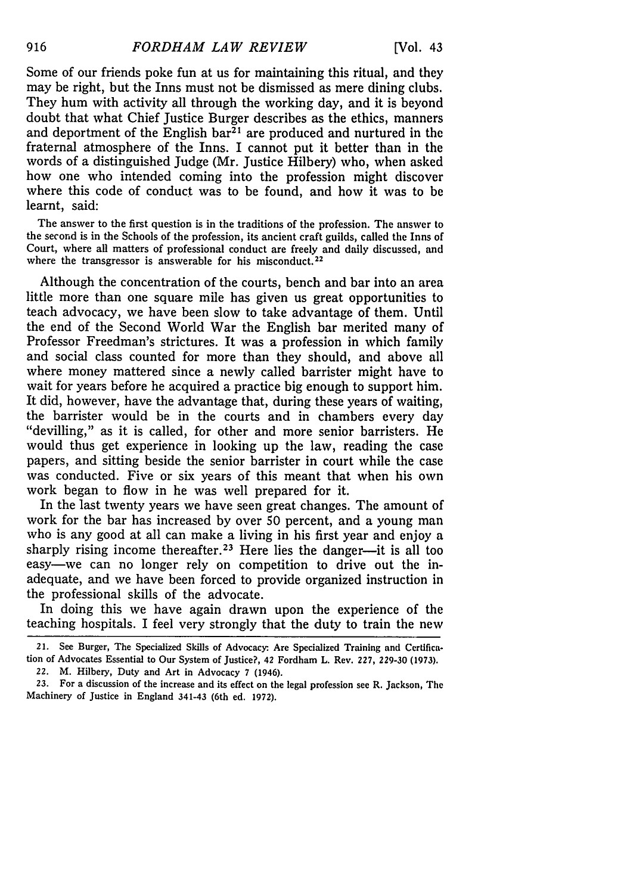Some of our friends poke fun at us for maintaining this ritual, and they may be right, but the Inns must not be dismissed as mere dining clubs. They hum with activity all through the working day, and it is beyond doubt that what Chief Justice Burger describes as the ethics, manners and deportment of the English bar<sup> $\bar{z}$ 1</sup> are produced and nurtured in the fraternal atmosphere of the Inns. I cannot put it better than in the words of a distinguished Judge (Mr. Justice Hilbery) who, when asked how one who intended coming into the profession might discover where this code of conduct was to be found, and how it was to be learnt, said:

The answer to the first question is in the traditions of the profession. The answer to the second is in the Schools of the profession, its ancient craft guilds, called the Inns of Court, where all matters of professional conduct are freely and daily discussed, and where the transgressor is answerable for his misconduct.<sup>22</sup>

Although the concentration of the courts, bench and bar into an area little more than one square mile has given us great opportunities to teach advocacy, we have been slow to take advantage of them. Until the end of the Second World War the English bar merited many of Professor Freedman's strictures. It was a profession in which family and social class counted for more than they should, and above all where money mattered since a newly called barrister might have to wait for years before he acquired a practice big enough to support him. It did, however, have the advantage that, during these years of waiting, the barrister would be in the courts and in chambers every day "devilling," as it is called, for other and more senior barristers. He would thus get experience in looking up the law, reading the case papers, and sitting beside the senior barrister in court while the case was conducted. Five or six years of this meant that when his own work began to flow in he was well prepared for it.

In the last twenty years we have seen great changes. The amount of work for the bar has increased by over 50 percent, and a young man who is any good at all can make a living in his first year and enjoy a sharply rising income thereafter.<sup>23</sup> Here lies the danger---it is all too easy-we can no longer rely on competition to drive out the inadequate, and we have been forced to provide organized instruction in the professional skills of the advocate.

In doing this we have again drawn upon the experience of the teaching hospitals. I feel very strongly that the duty to train the new

22. M. Hilbery, Duty and Art in Advocacy 7 (1946).

**23.** For a discussion of the increase and its effect on the legal profession see R. Jackson, The Machinery of Justice in England 341-43 (6th ed. **1972).**

916

<sup>21.</sup> See Burger, The Specialized Skills of Advocacy- Are Specialized Training and Certification of Advocates Essential to Our System of Justice?, 42 Fordham L. Rev. **227, 229-30 (1973).**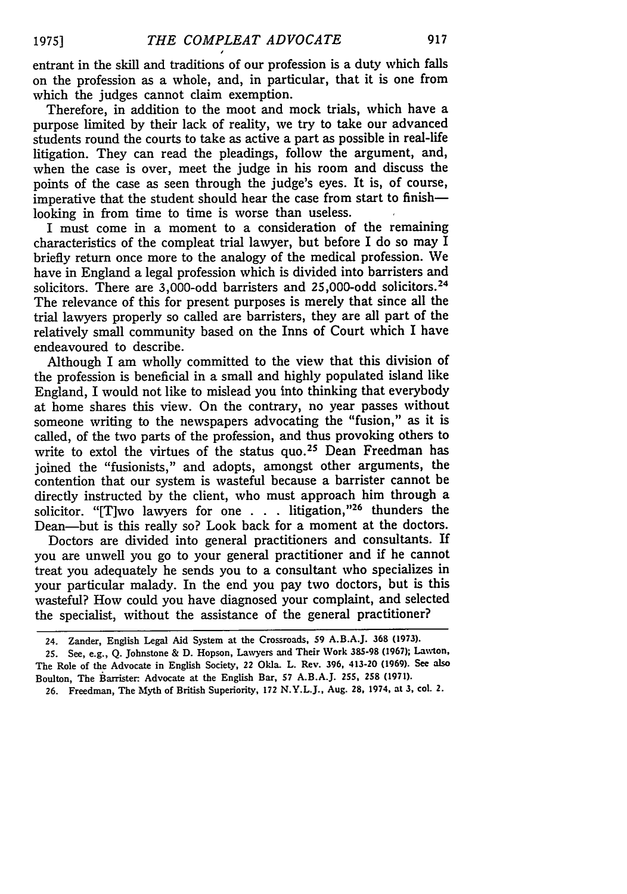entrant in the skill and traditions of our profession is a duty which falls on the profession as a whole, and, in particular, that it is one from which the judges cannot claim exemption.

Therefore, in addition to the moot and mock trials, which have a purpose limited by their lack of reality, we try to take our advanced students round the courts to take as active a part as possible in real-life litigation. They can read the pleadings, follow the argument, and, when the case is over, meet the judge in his room and discuss the points of the case as seen through the judge's eyes. It is, of course, imperative that the student should hear the case from start to finish looking in from time to time is worse than useless.

I must come in a moment to a consideration of the remaining characteristics of the compleat trial lawyer, but before I do so may I briefly return once more to the analogy of the medical profession. We have in England a legal profession which is divided into barristers and solicitors. There are 3,000-odd barristers and 25,000-odd solicitors.<sup>24</sup> The relevance of this for present purposes is merely that since all the trial lawyers properly so called are barristers, they are all part of the relatively small community based on the Inns of Court which I have endeavoured to describe.

Although I am wholly committed to the view that this division of the profession is beneficial in a small and highly populated island like England, I would not like to mislead you into thinking that everybody at home shares this view. On the contrary, no year passes without someone writing to the newspapers advocating the "fusion," as it is called, of the two parts of the profession, and thus provoking others to write to extol the virtues of the status quo.<sup>25</sup> Dean Freedman has joined the "fusionists," and adopts, amongst other arguments, the contention that our system is wasteful because a barrister cannot be directly instructed by the client, who must approach him through a solicitor. "[T]wo lawyers for one . . . litigation,"<sup>26</sup> thunders the Dean-but is this really so? Look back for a moment at the doctors.

Doctors are divided into general practitioners and consultants. If you are unwell you go to your general practitioner and if he cannot treat you adequately he sends you to a consultant who specializes in your particular malady. In the end you pay two doctors, but is this wasteful? How could you have diagnosed your complaint, and selected the specialist, without the assistance of the general practitioner?

<sup>24.</sup> Zander, English Legal Aid System at the Crossroads, 59 A.B.A.J. **368 (1973).**

<sup>25.</sup> See, e.g., Q. Johnstone & D. Hopson, Lawyers and Their Work 385-98 **(1967);** Lawlon, The Role of the Advocate in English Society, 22 Okla. L. Rev. 396, 413-20 **(1969).** See also Boulton, The barrister. Advocate at the English Bar, 57 A.B.A.J. **255, 258 (1971).**

<sup>26.</sup> Freedman, The Myth of British Superiority, **172** N.Y.L.J., Aug. **28,** 1974, at **3,** col. 2.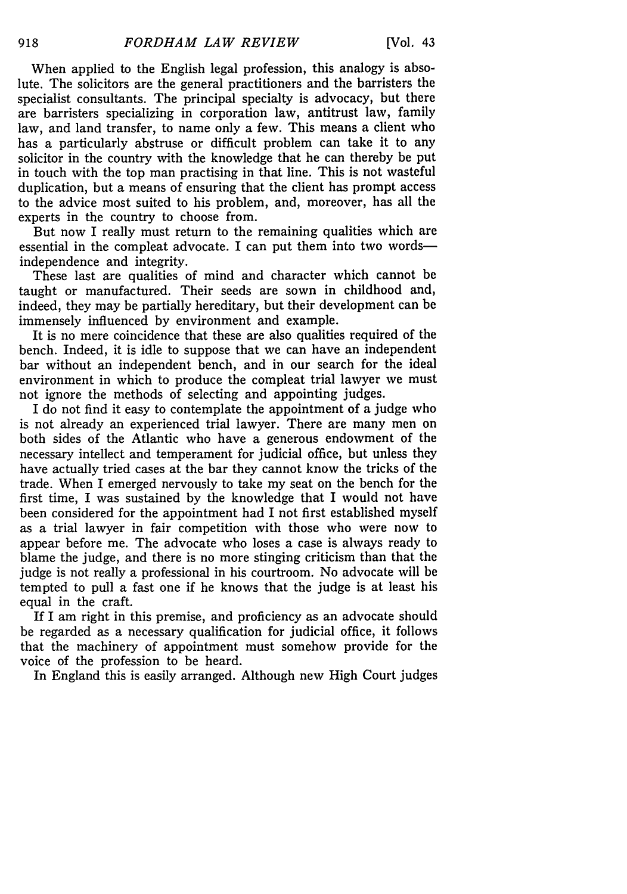When applied to the English legal profession, this analogy is absolute. The solicitors are the general practitioners and the barristers the specialist consultants. The principal specialty is advocacy, but there are barristers specializing in corporation law, antitrust law, family law, and land transfer, to name only a few. This means a client who has a particularly abstruse or difficult problem can take it to any solicitor in the country with the knowledge that he can thereby be put in touch with the top man practising in that line. This is not wasteful duplication, but a means of ensuring that the client has prompt access to the advice most suited to his problem, and, moreover, has all the experts in the country to choose from.

But now I really must return to the remaining qualities which are essential in the compleat advocate. I can put them into two wordsindependence and integrity.

These last are qualities of mind and character which cannot be taught or manufactured. Their seeds are sown in childhood and, indeed, they may be partially hereditary, but their development can be immensely influenced by environment and example.

It is no mere coincidence that these are also qualities required of the bench. Indeed, it is idle to suppose that we can have an independent bar without an independent bench, and in our search for the ideal environment in which to produce the compleat trial lawyer we must not ignore the methods of selecting and appointing judges.

I do not find it easy to contemplate the appointment of a judge who is not already an experienced trial lawyer. There are many men on both sides of the Atlantic who have a generous endowment of the necessary intellect and temperament for judicial office, but unless they have actually tried cases at the bar they cannot know the tricks of the trade. When I emerged nervously to take my seat on the bench for the first time, I was sustained by the knowledge that I would not have been considered for the appointment had I not first established myself as a trial lawyer in fair competition with those who were now to appear before me. The advocate who loses a case is always ready to blame the judge, and there is no more stinging criticism than that the judge is not really a professional in his courtroom. No advocate will be tempted to pull a fast one if he knows that the judge is at least his equal in the craft.

If I am right in this premise, and proficiency as an advocate should be regarded as a necessary qualification for judicial office, it follows that the machinery of appointment must somehow provide for the voice of the profession to be heard.

In England this is easily arranged. Although new High Court judges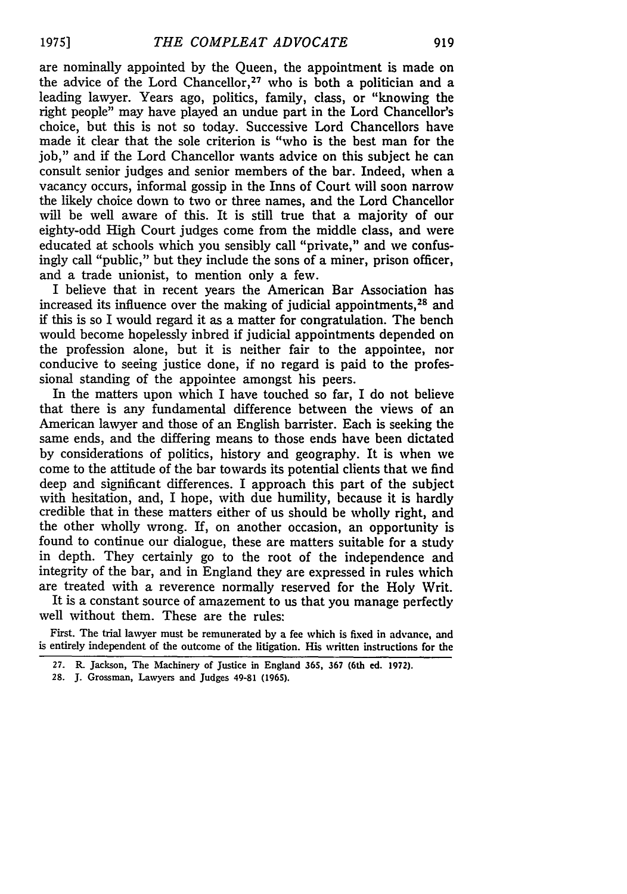are nominally appointed by the Queen, the appointment is made on the advice of the Lord Chancellor,<sup>27</sup> who is both a politician and a leading lawyer. Years ago, politics, family, class, or "knowing the right people" may have played an undue part in the Lord Chancellor's choice, but this is not so today. Successive Lord Chancellors have made it clear that the sole criterion is "who is the best man for the job," and if the Lord Chancellor wants advice on this subject he can consult senior judges and senior members of the bar. Indeed, when a vacancy occurs, informal gossip in the Inns of Court will soon narrow the likely choice down to two or three names, and the Lord Chancellor will be well aware of this. It is still true that a majority of our eighty-odd High Court judges come from the middle class, and were educated at schools which you sensibly call "private," and we confusingly call "public," but they include the sons of a miner, prison officer, and a trade unionist, to mention only a few.

I believe that in recent years the American Bar Association has increased its influence over the making of judicial appointments, 28 and if this is so I would regard it as a matter for congratulation. The bench would become hopelessly inbred if judicial appointments depended on the profession alone, but it is neither fair to the appointee, nor conducive to seeing justice done, if no regard is paid to the professional standing of the appointee amongst his peers.

In the matters upon which I have touched so far, I do not believe that there is any fundamental difference between the views of an American lawyer and those of an English barrister. Each is seeking the same ends, and the differing means to those ends have been dictated by considerations of politics, history and geography. It is when we come to the attitude of the bar towards its potential clients that we find deep and significant differences. I approach this part of the subject with hesitation, and, I hope, with due humility, because it is hardly credible that in these matters either of us should be wholly right, and the other wholly wrong. If, on another occasion, an opportunity is found to continue our dialogue, these are matters suitable for a study in depth. They certainly go to the root of the independence and integrity of the bar, and in England they are expressed in rules which are treated with a reverence normally reserved for the Holy Writ.

It is a constant source of amazement to us that you manage perfectly well without them. These are the rules:

First. The trial lawyer must be remunerated by a fee which is fixed in advance, and is entirely independent of the outcome of the litigation. His written instructions for the

**28. J.** Grossman, Lawyers and Judges 49-81 **(1965).**

**<sup>27.</sup>** R. Jackson, The Machinery of Justice in England **365, 367** (6th **ed.** 1972).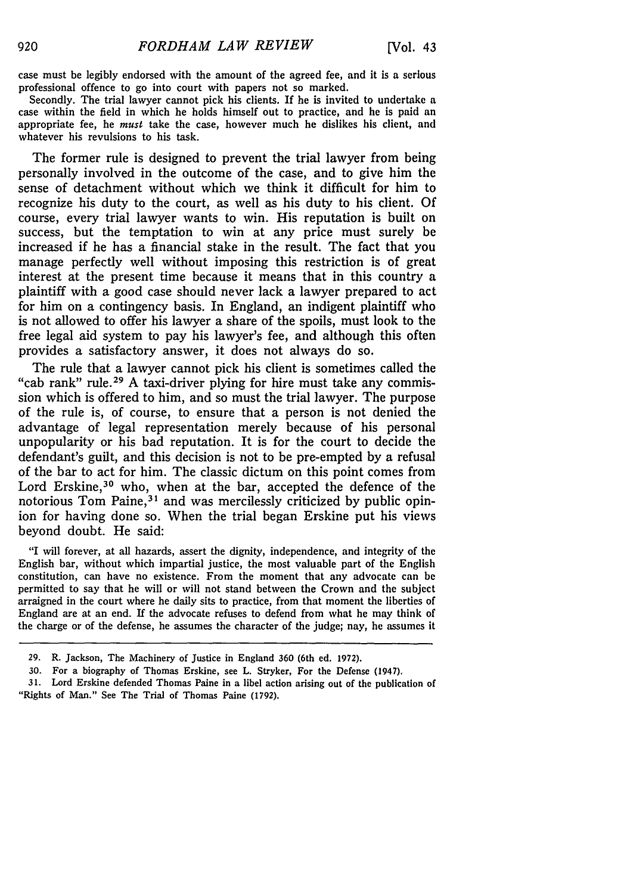case must be legibly endorsed with the amount of the agreed fee, and it is a serious professional offence to go into court with papers not so marked.

Secondly. The trial lawyer cannot pick his clients. **If** he is invited to undertake a case within the field in which he holds himself out to practice, and he is paid an appropriate fee, he *must* take the case, however much he dislikes his client, and whatever his revulsions to his task.

The former rule is designed to prevent the trial lawyer from being personally involved in the outcome of the case, and to give him the sense of detachment without which we think it difficult for him to recognize his duty to the court, as well as his duty to his client. **Of** course, every trial lawyer wants to win. His reputation is built on success, but the temptation to win at any price must surely be increased if he has a financial stake in the result. The fact that you manage perfectly well without imposing this restriction is of great interest at the present time because it means that in this country a plaintiff with a good case should never lack a lawyer prepared to act for him on a contingency basis. In England, an indigent plaintiff who is not allowed to offer his lawyer a share of the spoils, must look to the free legal aid system to pay his lawyer's fee, and although this often provides a satisfactory answer, it does not always do so.

The rule that a lawyer cannot pick his client is sometimes called the "cab rank" rule.<sup>29</sup> A taxi-driver plying for hire must take any commission which is offered to him, and so must the trial lawyer. The purpose of the rule is, of course, to ensure that a person is not denied the advantage of legal representation merely because of his personal unpopularity or his bad reputation. It is for the court to decide the defendant's guilt, and this decision is not to be pre-empted **by** a refusal of the bar to act for him. The classic dictum on this point comes from Lord Erskine,<sup>30</sup> who, when at the bar, accepted the defence of the notorious Tom Paine, 31 and was mercilessly criticized **by** public opinion for having done so. When the trial began Erskine put his views beyond doubt. He said:

"I will forever, at all hazards, assert the dignity, independence, and integrity of the English bar, without which impartial justice, the most valuable part of the English constitution, can have no existence. From the moment that any advocate can be permitted to say that he will or will not stand between the Crown and the subject arraigned in the court where he daily sits to practice, from that moment the liberties of England are at an end. If the advocate refuses to defend from what he may think of the charge or of the defense, he assumes the character of the judge; nay, he assumes it

**<sup>29.</sup>** R. Jackson, The Machinery of Justice in England **360** (6th ed. **1972).**

**<sup>30.</sup>** For a biography of Thomas Erskine, see L. Stryker, For the Defense (1947).

**<sup>31.</sup>** Lord Erskine defended Thomas Paine in a libel action arising out of the publication of "Rights of Man." See The Trial of Thomas Paine **(1792).**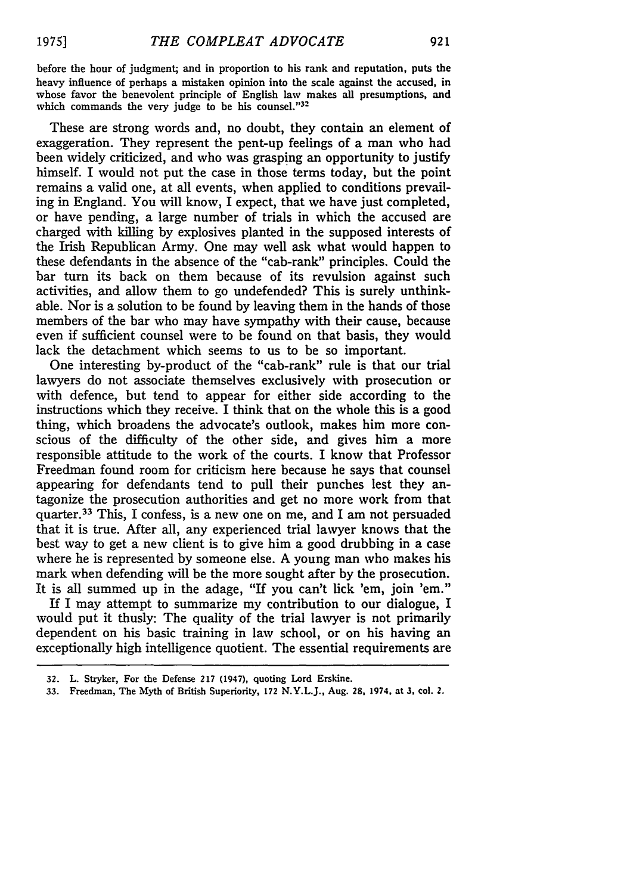before the hour of judgment; and in proportion to his rank and reputation, puts the heavy influence of perhaps a mistaken opinion into the scale against the accused, in whose favor the benevolent principle of English law makes all presumptions, and which commands the very judge to be his counsel."<sup>32</sup>

These are strong words and, no doubt, they contain an element of exaggeration. They represent the pent-up feelings of a man who had been widely criticized, and who was grasping an opportunity to justify himself. I would not put the case in those terms today, but the point remains a valid one, at all events, when applied to conditions prevailing in England. You will know, I expect, that we have just completed, or have pending, a large number of trials in which the accused are charged with killing **by** explosives planted in the supposed interests of the Irish Republican Army. One may well ask what would happen to these defendants in the absence of the "cab-rank" principles. Could the bar turn its back on them because of its revulsion against such activities, and allow them to go undefended? This is surely unthinkable. Nor is a solution to be found **by** leaving them in the hands of those members of the bar who may have sympathy with their cause, because even **if** sufficient counsel were to be found on that basis, they would lack the detachment which seems to us to be so important.

One interesting by-product of the "cab-rank" rule is that our trial lawyers do not associate themselves exclusively with prosecution or with defence, but tend to appear for either side according to the instructions which they receive. I think that on the whole this is a good thing, which broadens the advocate's outlook, makes him more conscious of the difficulty of the other side, and gives him a more responsible attitude to the work of the courts. I know that Professor Freedman found room for criticism here because he says that counsel appearing for defendants tend to pull their punches lest they antagonize the prosecution authorities and get no more work from that quarter.33 This, I confess, is a new one on me, and I am not persuaded that it is true. After all, any experienced trial lawyer knows that the best way to get a new client is to give him a good drubbing in a case where he is represented **by** someone else. **A** young man who makes his mark when defending will be the more sought after **by** the prosecution. It is all summed up in the adage, "If you can't lick 'em, join **'em."**

If I may attempt to summarize my contribution to our dialogue, I would put it thusly: The quality of the trial lawyer is not primarily dependent on his basic training in law school, or on his having an exceptionally high intelligence quotient. The essential requirements are

**<sup>32.</sup>** L. Stryker, For the Defense **217** (1947), quoting Lord Erskine.

**<sup>33.</sup>** Freedman, The Myth of British Superiority, **172** N.Y.L.J., Aug. **28,** 1974, at **3, col.** 2.